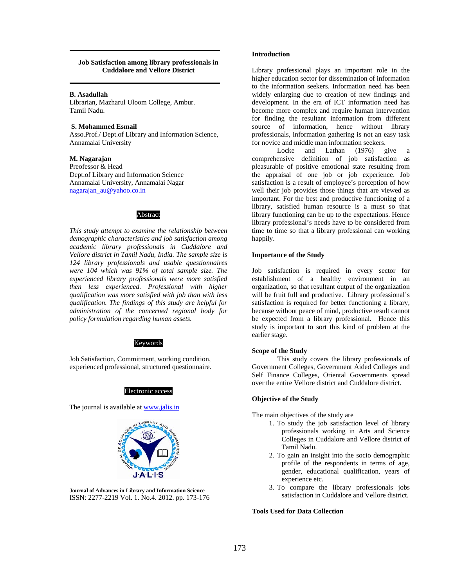## **Job Satisfaction among library professionals in Cuddalore and Vellore District**

**B. Asadullah** 

Librarian, Mazharul Uloom College, Ambur. Tamil Nadu.

#### **S. Mohammed Esmail**

Asso.Prof./ Dept.of Library and Information Science, Annamalai University

## **M. Nagarajan**

Preofessor & Head Dept.of Library and Information Science Annamalai University, Annamalai Nagar nagarajan\_au@yahoo.co.in

## Abstract

*This study attempt to examine the relationship between demographic characteristics and job satisfaction among academic library professionals in Cuddalore and Vellore district in Tamil Nadu, India. The sample size is 124 library professionals and usable questionnaires were 104 which was 91% of total sample size. The experienced library professionals were more satisfied then less experienced. Professional with higher qualification was more satisfied with job than with less qualification. The findings of this study are helpful for administration of the concerned regional body for policy formulation regarding human assets.* 

#### Keywords

Job Satisfaction, Commitment, working condition, experienced professional, structured questionnaire.

Electronic access

The journal is available at www.jalis.in



**Journal of Advances in Library and Information Science**  ISSN: 2277-2219 Vol. 1. No.4. 2012. pp. 173-176

## **Introduction**

Library professional plays an important role in the higher education sector for dissemination of information to the information seekers. Information need has been widely enlarging due to creation of new findings and development. In the era of ICT information need has become more complex and require human intervention for finding the resultant information from different source of information, hence without library professionals, information gathering is not an easy task for novice and middle man information seekers.

 Locke and Lathan (1976) give a comprehensive definition of job satisfaction as pleasurable of positive emotional state resulting from the appraisal of one job or job experience. Job satisfaction is a result of employee's perception of how well their job provides those things that are viewed as important. For the best and productive functioning of a library, satisfied human resource is a must so that library functioning can be up to the expectations. Hence library professional's needs have to be considered from time to time so that a library professional can working happily.

#### **Importance of the Study**

Job satisfaction is required in every sector for establishment of a healthy environment in an organization, so that resultant output of the organization will be fruit full and productive. Library professional's satisfaction is required for better functioning a library, because without peace of mind, productive result cannot be expected from a library professional. Hence this study is important to sort this kind of problem at the earlier stage.

#### **Scope of the Study**

This study covers the library professionals of Government Colleges, Government Aided Colleges and Self Finance Colleges, Oriental Governments spread over the entire Vellore district and Cuddalore district.

#### **Objective of the Study**

The main objectives of the study are

- 1. To study the job satisfaction level of library professionals working in Arts and Science Colleges in Cuddalore and Vellore district of Tamil Nadu.
- 2. To gain an insight into the socio demographic profile of the respondents in terms of age, gender, educational qualification, years of experience etc.
- 3. To compare the library professionals jobs satisfaction in Cuddalore and Vellore district.

## **Tools Used for Data Collection**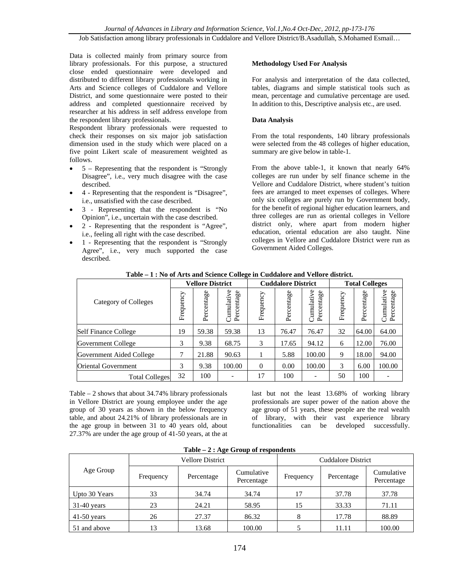Job Satisfaction among library professionals in Cuddalore and Vellore District/B.Asadullah, S.Mohamed Esmail...

Data is collected mainly from primary source from library professionals. For this purpose, a structured close ended questionnaire were developed and distributed to different library professionals working in Arts and Science colleges of Cuddalore and Vellore District, and some questionnaire were posted to their address and completed questionnaire received by researcher at his address in self address envelope from the respondent library professionals.

Respondent library professionals were requested to check their responses on six major job satisfaction dimension used in the study which were placed on a five point Likert scale of measurement weighted as follows.

- $\bullet$  5 Representing that the respondent is "Strongly" Disagree", i.e., very much disagree with the case described.
- 4 Representing that the respondent is "Disagree", i.e., unsatisfied with the case described.
- 3 Representing that the respondent is "No Opinion", i.e., uncertain with the case described.
- 2 Representing that the respondent is "Agree", i.e., feeling all right with the case described.
- 1 Representing that the respondent is "Strongly" Agree", i.e., very much supported the case described.

# **Methodology Used For Analysis**

For analysis and interpretation of the data collected, tables, diagrams and simple statistical tools such as mean, percentage and cumulative percentage are used. In addition to this, Descriptive analysis etc., are used.

# **Data Analysis**

From the total respondents, 140 library professionals were selected from the 48 colleges of higher education, summary are give below in table-1.

From the above table-1, it known that nearly 64% colleges are run under by self finance scheme in the Vellore and Cuddalore District, where student's tuition fees are arranged to meet expenses of colleges. Where only six colleges are purely run by Government body, for the benefit of regional higher education learners, and three colleges are run as oriental colleges in Vellore district only, where apart from modern higher education, oriental education are also taught. Nine colleges in Vellore and Cuddalore District were run as Government Aided Colleges.

|                             |           | <b>Vellore District</b> |                          | <b>Cuddalore District</b><br><b>Total Colleges</b> |            |                          |           |            |                          |  |
|-----------------------------|-----------|-------------------------|--------------------------|----------------------------------------------------|------------|--------------------------|-----------|------------|--------------------------|--|
| Category of Colleges        | Frequency | Percentage              | Cumulative<br>Percentage | Frequency                                          | Percentage | Cumulative<br>Percentage | Frequency | Percentage | Cumulative<br>Percentage |  |
| <b>Self Finance College</b> | 19        | 59.38                   | 59.38                    | 13                                                 | 76.47      | 76.47                    | 32        | 64.00      | 64.00                    |  |
| Government College          | 3         | 9.38                    | 68.75                    | 3                                                  | 17.65      | 94.12                    | 6         | 12.00      | 76.00                    |  |
| Government Aided College    | 7         | 21.88                   | 90.63                    | 1                                                  | 5.88       | 100.00                   | 9         | 18.00      | 94.00                    |  |
| <b>Oriental Government</b>  | 3         | 9.38                    | 100.00                   | $\overline{0}$                                     | 0.00       | 100.00                   | 3         | 6.00       | 100.00                   |  |
| <b>Total Colleges</b>       | 32        | 100                     |                          | 17                                                 | 100        | $\overline{\phantom{a}}$ | 50        | 100        |                          |  |

**Table – 1 : No of Arts and Science College in Cuddalore and Vellore district.** 

Table – 2 shows that about 34.74% library professionals in Vellore District are young employee under the age group of 30 years as shown in the below frequency table, and about 24.21% of library professionals are in the age group in between 31 to 40 years old, about 27.37% are under the age group of 41-50 years, at the at

last but not the least 13.68% of working library professionals are super power of the nation above the age group of 51 years, these people are the real wealth of library, with their vast experience library functionalities can be developed successfully.

|               |                         | <b>Vellore District</b> |                          | <b>Cuddalore District</b> |            |                          |  |  |
|---------------|-------------------------|-------------------------|--------------------------|---------------------------|------------|--------------------------|--|--|
| Age Group     | Frequency<br>Percentage |                         | Cumulative<br>Percentage | Frequency                 | Percentage | Cumulative<br>Percentage |  |  |
| Upto 30 Years | 33                      | 34.74                   | 34.74                    | 17                        | 37.78      | 37.78                    |  |  |
| $31-40$ years | 23                      | 24.21                   | 58.95                    | 15                        | 33.33      | 71.11                    |  |  |
| $41-50$ years | 26                      | 27.37                   | 86.32                    | 8                         | 17.78      | 88.89                    |  |  |
| 51 and above  | 13                      | 13.68                   | 100.00                   |                           | 11.11      | 100.00                   |  |  |

**Table – 2 : Age Group of respondents**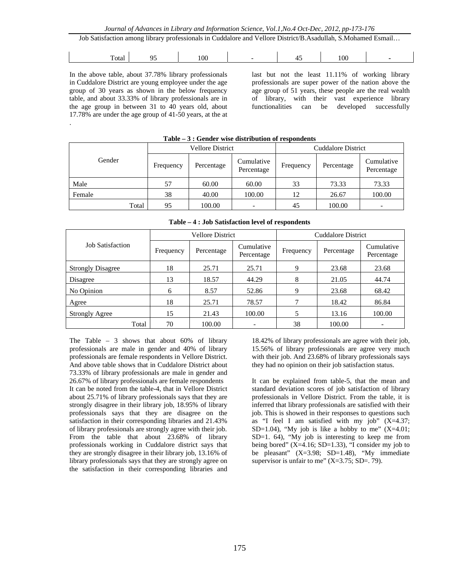Job Satisfaction among library professionals in Cuddalore and Vellore District/B.Asadullah, S.Mohamed Esmail…

| -<br>$\alpha$        |  |  | $\alpha$ |  |
|----------------------|--|--|----------|--|
| $\sim$ $\sim$ $\sim$ |  |  |          |  |

In the above table, about 37.78% library professionals in Cuddalore District are young employee under the age group of 30 years as shown in the below frequency table, and about 33.33% of library professionals are in the age group in between 31 to 40 years old, about 17.78% are under the age group of 41-50 years, at the at .

last but not the least 11.11% of working library professionals are super power of the nation above the age group of 51 years, these people are the real wealth of library, with their vast experience library functionalities can be developed successfully

|        | .                       | <b>Vellore District</b> | v i genuer wise uistrivution of respondence | Cuddalore District |            |                          |  |
|--------|-------------------------|-------------------------|---------------------------------------------|--------------------|------------|--------------------------|--|
| Gender | Percentage<br>Frequency |                         | Cumulative<br>Percentage                    | Frequency          | Percentage | Cumulative<br>Percentage |  |
| Male   | 57                      | 60.00                   | 60.00                                       | 33                 | 73.33      | 73.33                    |  |
| Female | 38                      | 40.00                   | 100.00                                      | 12                 | 26.67      | 100.00                   |  |
| Total  | 95                      | 100.00                  |                                             | 45                 | 100.00     |                          |  |

## **Table – 3 : Gender wise distribution of respondents**

|                          |           | <b>Vellore District</b> |                          | <b>Cuddalore District</b> |            |                          |  |  |
|--------------------------|-----------|-------------------------|--------------------------|---------------------------|------------|--------------------------|--|--|
| <b>Job Satisfaction</b>  | Frequency | Percentage              | Cumulative<br>Percentage | Frequency                 | Percentage | Cumulative<br>Percentage |  |  |
| <b>Strongly Disagree</b> | 18        | 25.71                   | 25.71                    | 9                         | 23.68      | 23.68                    |  |  |
| Disagree                 | 13        | 18.57                   | 44.29                    | 8                         | 21.05      | 44.74                    |  |  |
| No Opinion               | 6         | 8.57                    | 52.86                    | 9                         | 23.68      | 68.42                    |  |  |
| Agree                    | 18        | 25.71                   | 78.57                    | 7                         | 18.42      | 86.84                    |  |  |
| <b>Strongly Agree</b>    | 15        | 21.43                   | 100.00                   | 5                         | 13.16      | 100.00                   |  |  |
| Total                    | 70        | 100.00                  | $\overline{\phantom{0}}$ | 38                        | 100.00     |                          |  |  |

#### **Table – 4 : Job Satisfaction level of respondents**

The Table – 3 shows that about 60% of library professionals are male in gender and 40% of library professionals are female respondents in Vellore District. And above table shows that in Cuddalore District about 73.33% of library professionals are male in gender and 26.67% of library professionals are female respondents It can be noted from the table-4, that in Vellore District about 25.71% of library professionals says that they are strongly disagree in their library job, 18.95% of library professionals says that they are disagree on the satisfaction in their corresponding libraries and 21.43% of library professionals are strongly agree with their job. From the table that about 23.68% of library professionals working in Cuddalore district says that they are strongly disagree in their library job, 13.16% of library professionals says that they are strongly agree on the satisfaction in their corresponding libraries and

18.42% of library professionals are agree with their job, 15.56% of library professionals are agree very much with their job. And 23.68% of library professionals says they had no opinion on their job satisfaction status.

It can be explained from table-5, that the mean and standard deviation scores of job satisfaction of library professionals in Vellore District. From the table, it is inferred that library professionals are satisfied with their job. This is showed in their responses to questions such as "I feel I am satisfied with my job"  $(X=4.37;$ SD=1.04), "My job is like a hobby to me"  $(X=4.01;$ SD=1. 64), "My job is interesting to keep me from being bored"  $(X=4.16; SD=1.33)$ , "I consider my job to be pleasant" (X=3.98; SD=1.48), "My immediate supervisor is unfair to me"  $(X=3.75; SD=.79)$ .